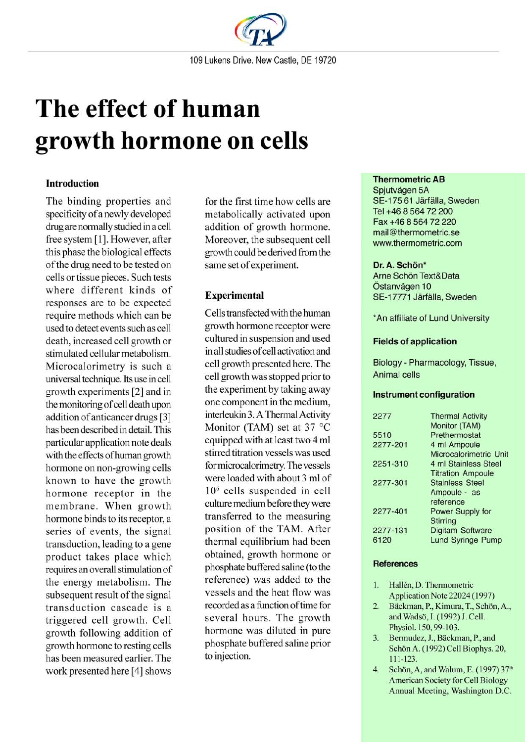

# The effect of human growth hormone on cells

# **Introduction**

The binding properties and specificity of a newly developed drug are normally studied in a cell free system [1]. However, after this phase the biological effects of the drug need to be tested on cells or tissue pieces. Such tests where different kinds of responses are to be expected require methods which can be used to detect events such as cell death, increased cell growth or stimulated cellular metabolism. Microcalorimetry is such a universal technique. Its use in cell growth experiments [2] and in the monitoring of cell death upon addition of anticancer drugs [3] has been described in detail. This particular application note deals with the effects of human growth hormone on non-growing cells known to have the growth hormone receptor in the membrane. When growth hormone binds to its receptor, a series of events, the signal transduction, leading to a gene product takes place which requires an overall stimulation of the energy metabolism. The subsequent result of the signal transduction cascade is a triggered cell growth. Cell growth following addition of growth hormone to resting cells has been measured earlier. The work presented here [4] shows

for the first time how cells are metabolically activated upon addition of growth hormone. Moreover, the subsequent cell growth could be derived from the same set of experiment.

# **Experimental**

Cells transfected with the human growth hormone receptor were cultured in suspension and used in all studies of cell activation and cell growth presented here. The cell growth was stopped prior to the experiment by taking away one component in the medium, interleukin 3. A Thermal Activity Monitor (TAM) set at 37 °C equipped with at least two 4 ml stirred titration vessels was used for microcalorimetry. The vessels were loaded with about 3 ml of 10<sup>6</sup> cells suspended in cell culture medium before they were transferred to the measuring position of the TAM. After thermal equilibrium had been obtained, growth hormone or phosphate buffered saline (to the reference) was added to the vessels and the heat flow was recorded as a function of time for several hours. The growth hormone was diluted in pure phosphate buffered saline prior to injection.

# **Thermometric AB**

Spjutvägen 5A SE-175 61 Järfälla, Sweden Tel +46 8 564 72 200 Fax +46 8 564 72 220 mail@thermometric.se www.thermometric.com

## Dr. A. Schön\*

Arne Schön Text&Data Östanvägen 10 SE-17771 Järfälla, Sweden

\*An affiliate of Lund University

## **Fields of application**

Biology - Pharmacology, Tissue, Animal cells

#### **Instrument configuration**

| 2277     | <b>Thermal Activity</b>  |
|----------|--------------------------|
|          | Monitor (TAM)            |
| 5510     | Prethermostat            |
| 2277-201 | 4 ml Ampoule             |
|          | Microcalorimetric Unit   |
| 2251-310 | 4 ml Stainless Steel     |
|          | <b>Titration Ampoule</b> |
| 2277-301 | <b>Stainless Steel</b>   |
|          | Ampoule - as             |
|          | reference                |
| 2277-401 | <b>Power Supply for</b>  |
|          | <b>Stirring</b>          |
| 2277-131 | <b>Digitam Software</b>  |
| 6120     | <b>Lund Syringe Pump</b> |
|          |                          |

#### **References**

- $\overline{1}$ . Hallén, D. Thermometric Application Note 22024 (1997)
- $\overline{2}$ . Bäckman, P., Kimura, T., Schön, A., and Wadsö, I. (1992) J. Cell. Physiol. 150, 99-103.
- $3.$ Bermudez, J., Bäckman, P., and Schön A. (1992) Cell Biophys. 20,  $111 - 123$ .
- $4.$ Schön, A, and Walum, E. (1997) 37th **American Society for Cell Biology** Annual Meeting, Washington D.C.